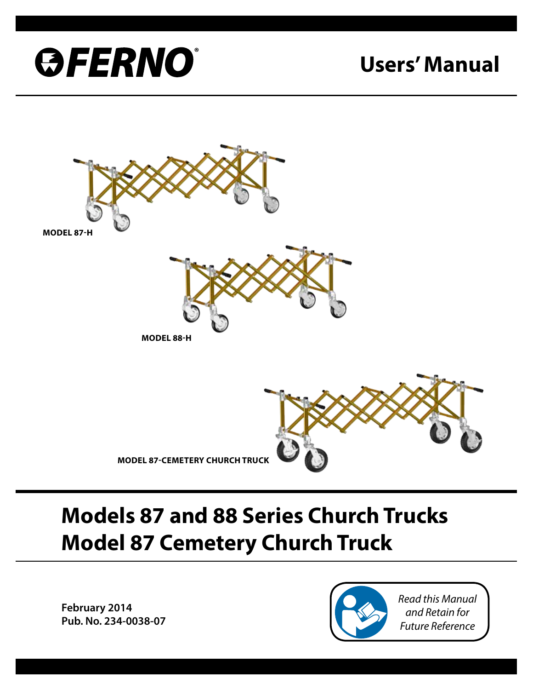

# **Users' Manual**



# **Models 87 and 88 Series Church Trucks Model 87 Cemetery Church Truck**

**February 2014 Pub. No. 234-0038-07**

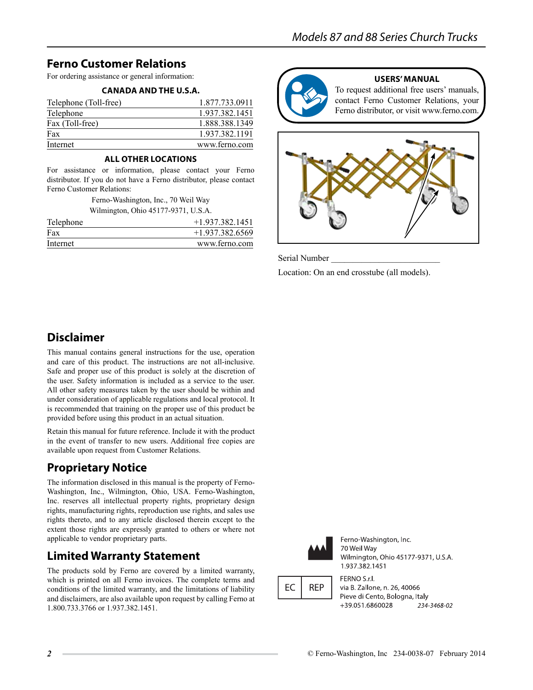## **Ferno Customer Relations**

For ordering assistance or general information:

#### **CANADA AND THE U.S.A.**

| Telephone (Toll-free) | 1.877.733.0911 |
|-----------------------|----------------|
| Telephone             | 1.937.382.1451 |
| Fax (Toll-free)       | 1.888.388.1349 |
| Fax                   | 1.937.382.1191 |
| Internet              | www.ferno.com  |

#### **All Other Locations**

For assistance or information, please contact your Ferno distributor. If you do not have a Ferno distributor, please contact Ferno Customer Relations:

> Ferno-Washington, Inc., 70 Weil Way Wilmington, Ohio 45177-9371, U.S.A.

| Telephone | $+1.937.382.1451$ |
|-----------|-------------------|
| Fax       | $+1.937.382.6569$ |
| Internet  | www.ferno.com     |



#### **users' manual**

To request additional free users' manuals, contact Ferno Customer Relations, your Ferno distributor, or visit www.ferno.com.



Serial Number

Location: On an end crosstube (all models).

### **Disclaimer**

This manual contains general instructions for the use, operation and care of this product. The instructions are not all-inclusive. Safe and proper use of this product is solely at the discretion of the user. Safety information is included as a service to the user. All other safety measures taken by the user should be within and under consideration of applicable regulations and local protocol. It is recommended that training on the proper use of this product be provided before using this product in an actual situation.

Retain this manual for future reference. Include it with the product in the event of transfer to new users. Additional free copies are available upon request from Customer Relations.

#### **Proprietary Notice**

The information disclosed in this manual is the property of Ferno-Washington, Inc., Wilmington, Ohio, USA. Ferno-Washington, Inc. reserves all intellectual property rights, proprietary design rights, manufacturing rights, reproduction use rights, and sales use rights thereto, and to any article disclosed therein except to the extent those rights are expressly granted to others or where not applicable to vendor proprietary parts.

#### **Limited Warranty Statement**

The products sold by Ferno are covered by a limited warranty, which is printed on all Ferno invoices. The complete terms and conditions of the limited warranty, and the limitations of liability and disclaimers, are also available upon request by calling Ferno at 1.800.733.3766 or 1.937.382.1451.



Ferno-Washington, Inc. 70 Weil Way Wilmington, Ohio 45177-9371, U.S.A. 1.937.382.1451

EC **REP**  FERNO S.r.l. via B. Zallone, n. 26, 40066 Pieve di Cento, Bologna, Italy +39.051.6860028 234-3468-02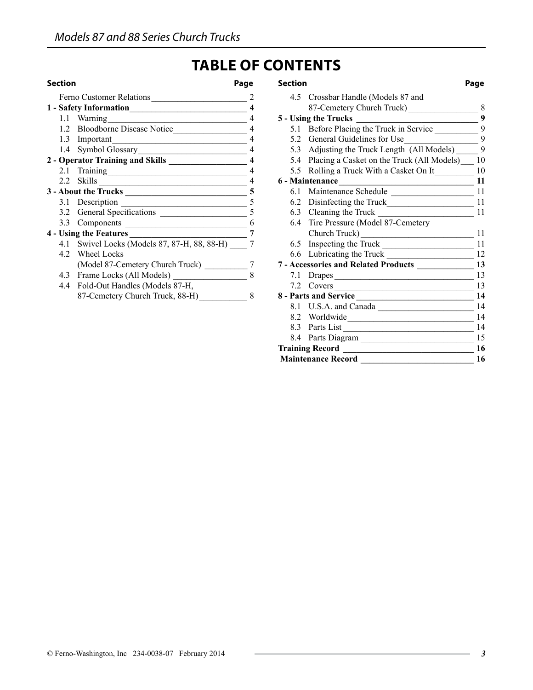# **Table of Contents**

| Ferno Customer Relations                       |   |
|------------------------------------------------|---|
| 1 - Safety Information                         |   |
|                                                | 4 |
| 1.2 Bloodborne Disease Notice                  | 4 |
| 1.3 Important                                  | 4 |
|                                                | 4 |
| 2 - Operator Training and Skills _____________ | 4 |
|                                                | 4 |
|                                                | 4 |
|                                                | 5 |
| 3.1 Description                                | 5 |
| 3.2 General Specifications                     | 5 |
| 3.3 Components                                 | 6 |
| 4 - Using the Features                         | 7 |
| 4.1 Swivel Locks (Models 87, 87-H, 88, 88-H)   |   |
| 4.2 Wheel Locks                                |   |
| (Model 87-Cemetery Church Truck)               |   |
| 4.3 Frame Locks (All Models)                   | 8 |
| 4.4 Fold-Out Handles (Models 87-H,             |   |
| 87-Cemetery Church Truck, 88-H)                | x |
|                                                |   |

| <b>Section</b>                                    | Page     | <b>Section</b>                                                                  | Page            |
|---------------------------------------------------|----------|---------------------------------------------------------------------------------|-----------------|
| Ferno Customer Relations 2                        |          | 4.5 Crossbar Handle (Models 87 and                                              |                 |
|                                                   |          | 87-Cemetery Church Truck)                                                       | 8               |
| 1.1 Warning                                       |          |                                                                                 | $\overline{9}$  |
| 1.2 Bloodborne Disease Notice                     | $\Delta$ |                                                                                 |                 |
| 1.3 Important                                     |          | 5.2 General Guidelines for Use                                                  | $\mathbf{Q}$    |
| 1.4 Symbol Glossary 4                             |          | 5.3 Adjusting the Truck Length (All Models) ______                              | 9               |
| 2 - Operator Training and Skills ________________ |          | 5.4 Placing a Casket on the Truck (All Models) 10                               |                 |
|                                                   |          | 5.5 Rolling a Truck With a Casket On It 10                                      |                 |
|                                                   |          |                                                                                 | 11              |
|                                                   |          | 6.1 Maintenance Schedule 11                                                     |                 |
|                                                   |          |                                                                                 |                 |
|                                                   |          | 6.3 Cleaning the Truck                                                          | $\overline{11}$ |
|                                                   |          | 6.4 Tire Pressure (Model 87-Cemetery                                            |                 |
| <b>4 - Using the Features</b>                     |          | Church Truck) 11                                                                |                 |
| 4.1 Swivel Locks (Models 87, 87-H, 88, 88-H) 7    |          | 6.5 Inspecting the Truck                                                        | 11              |
| 4.2 Wheel Locks                                   |          |                                                                                 |                 |
| (Model 87-Cemetery Church Truck) __________       |          | 7 - Accessories and Related Products _________________ 13                       |                 |
| 4.3 Frame Locks (All Models) 28                   |          |                                                                                 | 13              |
| 4.4 Fold-Out Handles (Models 87-H,                |          | 7.2 Covers                                                                      | 13              |
| 87-Cemetery Church Truck, 88-H) 8                 |          | 8 - Parts and Service 14                                                        |                 |
|                                                   |          | 8.1 U.S.A. and Canada                                                           | 14              |
|                                                   |          | 8.2 Worldwide                                                                   | 14              |
|                                                   |          | 8.3 Parts List                                                                  | 14              |
|                                                   |          | 8.4 Parts Diagram 15                                                            |                 |
|                                                   |          | <b>Training Record</b><br><u> 1989 - Johann Stoff, fransk politik (d. 1989)</u> | 16              |

 **Maintenance Record \_\_\_\_\_\_\_\_\_\_\_\_\_\_\_\_\_\_\_\_\_\_\_\_\_\_ 16**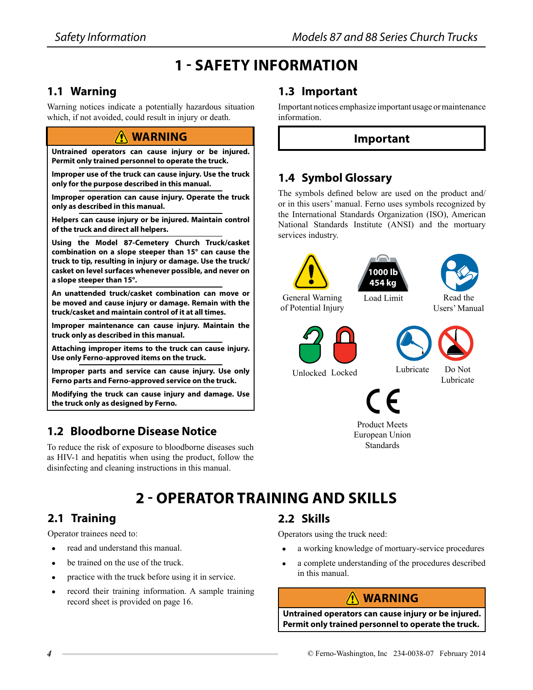# **1 - Safety Information**

#### **1.1 Warning**

Warning notices indicate a potentially hazardous situation which, if not avoided, could result in injury or death.

#### **Warning**

**Untrained operators can cause injury or be injured. Permit only trained personnel to operate the truck.**

**Improper use of the truck can cause injury. Use the truck only for the purpose described in this manual.**

**Improper operation can cause injury. Operate the truck only as described in this manual.**

**Helpers can cause injury or be injured. Maintain control of the truck and direct all helpers.**

**Using the Model 87-Cemetery Church Truck/casket combination on a slope steeper than 15° can cause the truck to tip, resulting in injury or damage. Use the truck/ casket on level surfaces whenever possible, and never on a slope steeper than 15°.**

**An unattended truck/casket combination can move or be moved and cause injury or damage. Remain with the truck/casket and maintain control of it at all times.**

**Improper maintenance can cause injury. Maintain the truck only as described in this manual.**

**Attaching improper items to the truck can cause injury. Use only Ferno-approved items on the truck.**

**Improper parts and service can cause injury. Use only Ferno parts and Ferno-approved service on the truck.**

**Modifying the truck can cause injury and damage. Use the truck only as designed by Ferno.**

## **1.2 Bloodborne Disease Notice**

To reduce the risk of exposure to bloodborne diseases such as HIV-1 and hepatitis when using the product, follow the disinfecting and cleaning instructions in this manual.

## **1.3 Important**

Important notices emphasize important usage or maintenance information.

#### **Important**

### **1.4 Symbol Glossary**

The symbols defined below are used on the product and/ or in this users' manual. Ferno uses symbols recognized by the International Standards Organization (ISO), American National Standards Institute (ANSI) and the mortuary services industry.

| General Warning<br>of Potential Injury | 1000 lb<br>454 kg<br>Load Limit                     | Read the<br>Users' Manual |
|----------------------------------------|-----------------------------------------------------|---------------------------|
| Unlocked Locked                        | Lubricate<br>E                                      | Do Not<br>Lubricate       |
|                                        | <b>Product Meets</b><br>European Union<br>Standards |                           |

# **2 - Operator Training and Skills**

#### **2.1 Training**

Operator trainees need to:

- read and understand this manual.
- be trained on the use of the truck.
- practice with the truck before using it in service.
- record their training information. A sample training record sheet is provided on page 16.

## **2.2 Skills**

Operators using the truck need:

- a working knowledge of mortuary-service procedures
- a complete understanding of the procedures described in this manual.

# **Warning**

**Untrained operators can cause injury or be injured. Permit only trained personnel to operate the truck.**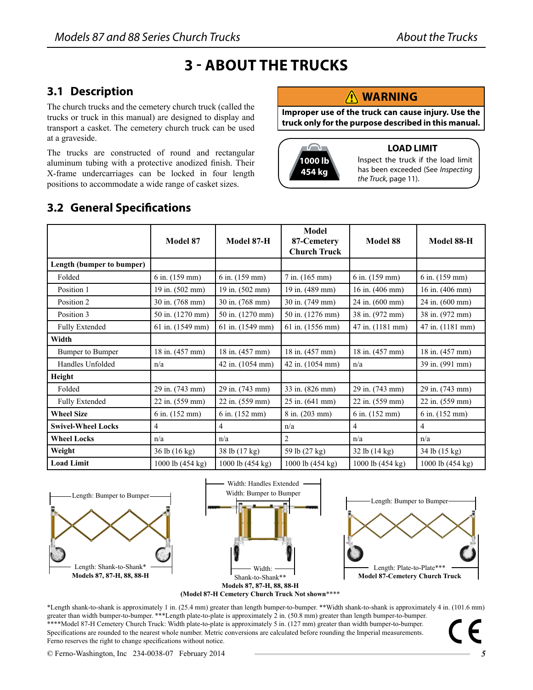# **3 - About the Trucks**

#### **3.1 Description**

The church trucks and the cemetery church truck (called the trucks or truck in this manual) are designed to display and transport a casket. The cemetery church truck can be used at a graveside.

The trucks are constructed of round and rectangular aluminum tubing with a protective anodized finish. Their X-frame undercarriages can be locked in four length positions to accommodate a wide range of casket sizes.

## **3.2 General Specifications**

#### **Warning**

**Improper use of the truck can cause injury. Use the truck only for the purpose described in this manual.**



#### **LOAD LIMIT**

Inspect the truck if the load limit has been exceeded (See *Inspecting the Truck,* page 11).

|                           | Model 87         | Model 87-H       | Model<br>87-Cemetery<br><b>Church Truck</b> | Model 88         | Model 88-H                |
|---------------------------|------------------|------------------|---------------------------------------------|------------------|---------------------------|
| Length (bumper to bumper) |                  |                  |                                             |                  |                           |
| Folded                    | 6 in. (159 mm)   | 6 in. (159 mm)   | $7$ in. $(165$ mm)                          | 6 in. (159 mm)   | 6 in. (159 mm)            |
| Position 1                | 19 in. (502 mm)  | 19 in. (502 mm)  | 19 in. (489 mm)                             | 16 in. (406 mm)  | 16 in. $(406 \text{ mm})$ |
| Position 2                | 30 in. (768 mm)  | 30 in. (768 mm)  | 30 in. (749 mm)                             | 24 in. (600 mm)  | 24 in. (600 mm)           |
| Position 3                | 50 in. (1270 mm) | 50 in. (1270 mm) | 50 in. (1276 mm)                            | 38 in. (972 mm)  | 38 in. (972 mm)           |
| <b>Fully Extended</b>     | 61 in. (1549 mm) | 61 in. (1549 mm) | 61 in. (1556 mm)                            | 47 in. (1181 mm) | 47 in. (1181 mm)          |
| Width                     |                  |                  |                                             |                  |                           |
| Bumper to Bumper          | 18 in. (457 mm)  | 18 in. (457 mm)  | 18 in. (457 mm)                             | 18 in. (457 mm)  | 18 in. (457 mm)           |
| Handles Unfolded          | n/a              | 42 in. (1054 mm) | 42 in. (1054 mm)                            | n/a              | 39 in. (991 mm)           |
| Height                    |                  |                  |                                             |                  |                           |
| Folded                    | 29 in. (743 mm)  | 29 in. (743 mm)  | 33 in. (826 mm)                             | 29 in. (743 mm)  | 29 in. (743 mm)           |
| <b>Fully Extended</b>     | 22 in. (559 mm)  | 22 in. (559 mm)  | 25 in. (641 mm)                             | 22 in. (559 mm)  | 22 in. (559 mm)           |
| <b>Wheel Size</b>         | 6 in. (152 mm)   | 6 in. (152 mm)   | 8 in. (203 mm)                              | 6 in. (152 mm)   | 6 in. (152 mm)            |
| <b>Swivel-Wheel Locks</b> | 4                | 4                | n/a                                         | $\overline{4}$   | 4                         |
| <b>Wheel Locks</b>        | n/a              | n/a              | $\overline{2}$                              | n/a              | n/a                       |
| Weight                    | 36 lb (16 kg)    | 38 lb (17 kg)    | 59 lb (27 kg)                               | 32 lb (14 kg)    | 34 lb (15 kg)             |
| <b>Load Limit</b>         | 1000 lb (454 kg) | 1000 lb (454 kg) | 1000 lb (454 kg)                            | 1000 lb (454 kg) | 1000 lb (454 kg)          |







**(Model 87-H Cemetery Church Truck Not shown**\*\*\*\*

\*Length shank-to-shank is approximately 1 in. (25.4 mm) greater than length bumper-to-bumper. \*\*Width shank-to-shank is approximately 4 in. (101.6 mm) greater than width bumper-to-bumper. \*\*\*Length plate-to-plate is approximately 2 in. (50.8 mm) greater than length bumper-to-bumper. \*\*\*\*Model 87-H Cemetery Church Truck: Width plate-to-plate is approximately 5 in. (127 mm) greater than width bumper-to-bumper. Specifications are rounded to the nearest whole number. Metric conversions are calculated before rounding the Imperial measurements. Ferno reserves the right to change specifications without notice.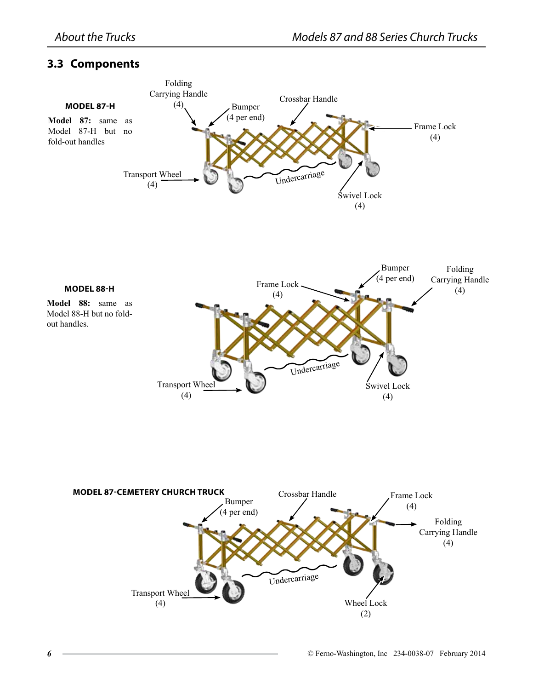#### **3.3 Components**

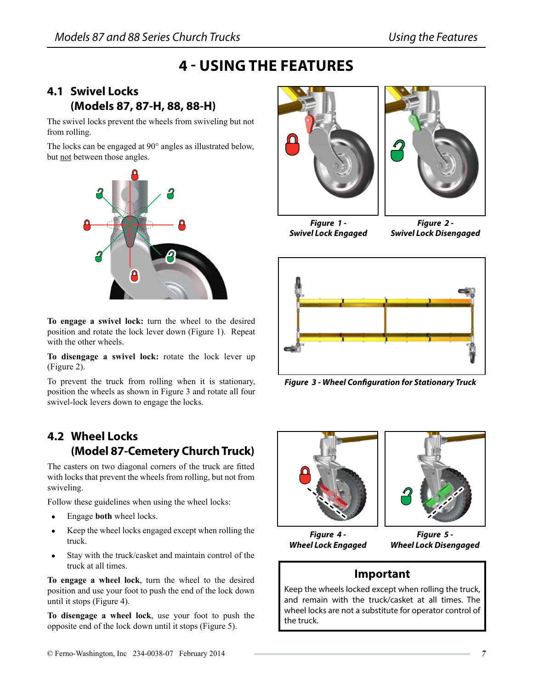# **4 - Using the Features**

#### **4.1 Swivel Locks (Models 87, 87-H, 88, 88-H)**

The swivel locks prevent the wheels from swiveling but not from rolling.

The locks can be engaged at 90° angles as illustrated below, but not between those angles.



**To engage a swivel lock:** turn the wheel to the desired position and rotate the lock lever down (Figure 1). Repeat with the other wheels.

**To disengage a swivel lock:** rotate the lock lever up (Figure 2).

To prevent the truck from rolling when it is stationary, position the wheels as shown in Figure 3 and rotate all four swivel-lock levers down to engage the locks.

## **4.2 Wheel Locks (Model 87-Cemetery Church Truck)**

The casters on two diagonal corners of the truck are fitted with locks that prevent the wheels from rolling, but not from swiveling.

Follow these guidelines when using the wheel locks:

- ● Engage **both** wheel locks.
- Keep the wheel locks engaged except when rolling the truck.
- Stay with the truck/casket and maintain control of the truck at all times.

**To engage a wheel lock**, turn the wheel to the desired position and use your foot to push the end of the lock down until it stops (Figure 4).

**To disengage a wheel lock**, use your foot to push the opposite end of the lock down until it stops (Figure 5).





*Figure 1 - Swivel Lock Engaged*

*Figure 2 - Swivel Lock Disengaged*



*Figure 3 - Wheel Configuration for Stationary Truck*





*Figure 4 - Wheel Lock Engaged*

*Figure 5 - Wheel Lock Disengaged*

#### **Important**

Keep the wheels locked except when rolling the truck, and remain with the truck/casket at all times. The wheel locks are not a substitute for operator control of the truck.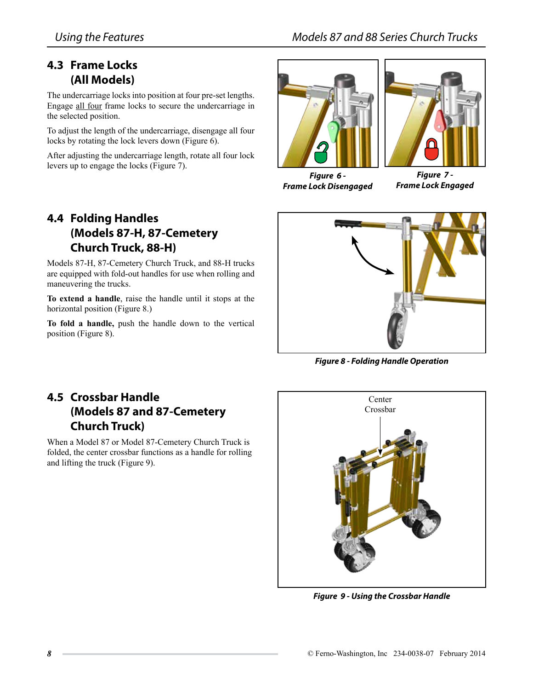#### **4.3 Frame Locks (All Models)**

The undercarriage locks into position at four pre-set lengths. Engage all four frame locks to secure the undercarriage in the selected position.

To adjust the length of the undercarriage, disengage all four locks by rotating the lock levers down (Figure 6).

After adjusting the undercarriage length, rotate all four lock levers up to engage the locks (Figure 7).

## **4.4 Folding Handles (Models 87-H, 87-Cemetery Church Truck, 88-H)**

Models 87-H, 87-Cemetery Church Truck, and 88-H trucks are equipped with fold-out handles for use when rolling and maneuvering the trucks.

**To extend a handle**, raise the handle until it stops at the horizontal position (Figure 8.)

**To fold a handle,** push the handle down to the vertical position (Figure 8).





*Figure 6 - Frame Lock Disengaged*

*Figure 7 - Frame Lock Engaged*



*Figure 8 - Folding Handle Operation*

## **4.5 Crossbar Handle (Models 87 and 87-Cemetery Church Truck)**

When a Model 87 or Model 87-Cemetery Church Truck is folded, the center crossbar functions as a handle for rolling and lifting the truck (Figure 9).



*Figure 9 - Using the Crossbar Handle*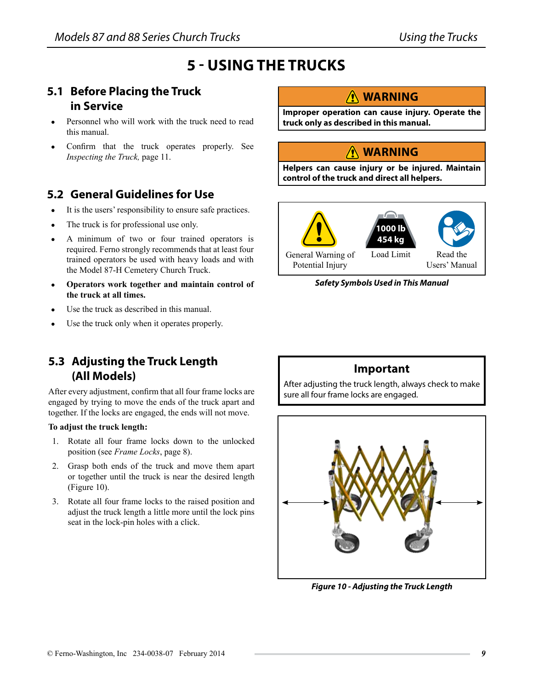# **5 - Using the Trucks**

## **5.1 Before Placing the Truck in Service**

- Personnel who will work with the truck need to read this manual.
- Confirm that the truck operates properly. See *Inspecting the Truck,* page 11.

#### **5.2 General Guidelines for Use**

- ● It is the users' responsibility to ensure safe practices.
- The truck is for professional use only.
- A minimum of two or four trained operators is required. Ferno strongly recommends that at least four trained operators be used with heavy loads and with the Model 87-H Cemetery Church Truck.
- Operators work together and maintain control of **the truck at all times.**
- Use the truck as described in this manual.
- Use the truck only when it operates properly.

#### **5.3 Adjusting the Truck Length (All Models)**

After every adjustment, confirm that all four frame locks are engaged by trying to move the ends of the truck apart and together. If the locks are engaged, the ends will not move.

#### **To adjust the truck length:**

- 1. Rotate all four frame locks down to the unlocked position (see *Frame Locks*, page 8).
- 2. Grasp both ends of the truck and move them apart or together until the truck is near the desired length (Figure 10).
- 3. Rotate all four frame locks to the raised position and adjust the truck length a little more until the lock pins seat in the lock-pin holes with a click.

#### **Warning**

**Improper operation can cause injury. Operate the truck only as described in this manual.**

### **Warning**

**Helpers can cause injury or be injured. Maintain control of the truck and direct all helpers.**



#### *Safety Symbols Used in This Manual*

#### **Important**

After adjusting the truck length, always check to make sure all four frame locks are engaged.



*Figure 10 - Adjusting the Truck Length*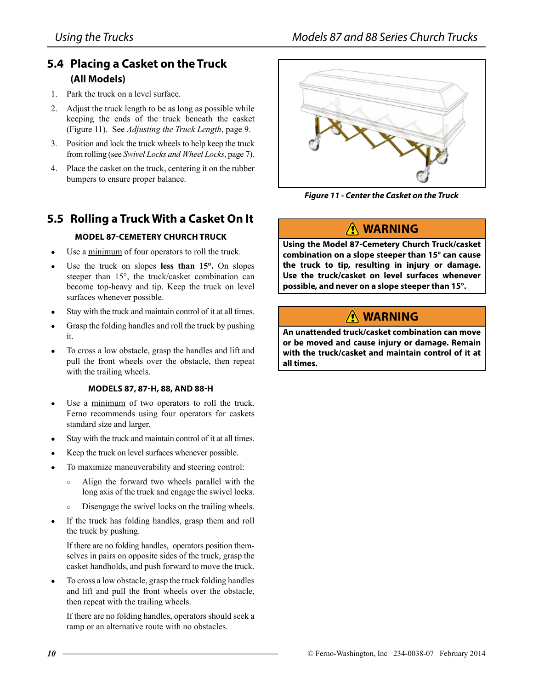#### **5.4 Placing a Casket on the Truck (All Models)**

- 1. Park the truck on a level surface.
- 2. Adjust the truck length to be as long as possible while keeping the ends of the truck beneath the casket (Figure 11). See *Adjusting the Truck Length*, page 9.
- 3. Position and lock the truck wheels to help keep the truck from rolling (see *Swivel Locks and Wheel Locks*, page 7).
- 4. Place the casket on the truck, centering it on the rubber bumpers to ensure proper balance.

#### **5.5 Rolling a Truck With a Casket On It**

#### **Model 87-Cemetery Church Truck**

- Use a minimum of four operators to roll the truck.
- Use the truck on slopes less than 15°. On slopes steeper than 15°, the truck/casket combination can become top-heavy and tip. Keep the truck on level surfaces whenever possible.
- Stay with the truck and maintain control of it at all times.
- Grasp the folding handles and roll the truck by pushing it.
- To cross a low obstacle, grasp the handles and lift and pull the front wheels over the obstacle, then repeat with the trailing wheels.

#### **Models 87, 87-H, 88, and 88-H**

- ● Use a minimum of two operators to roll the truck. Ferno recommends using four operators for caskets standard size and larger.
- Stay with the truck and maintain control of it at all times.
- Keep the truck on level surfaces whenever possible.
- To maximize maneuverability and steering control:
	- Align the forward two wheels parallel with the long axis of the truck and engage the swivel locks.
	- Disengage the swivel locks on the trailing wheels.
- ● If the truck has folding handles, grasp them and roll the truck by pushing.

If there are no folding handles, operators position themselves in pairs on opposite sides of the truck, grasp the casket handholds, and push forward to move the truck.

To cross a low obstacle, grasp the truck folding handles and lift and pull the front wheels over the obstacle, then repeat with the trailing wheels.

If there are no folding handles, operators should seek a ramp or an alternative route with no obstacles.



*Figure 11 - Center the Casket on the Truck*

#### **Warning**

**Using the Model 87-Cemetery Church Truck/casket combination on a slope steeper than 15° can cause the truck to tip, resulting in injury or damage. Use the truck/casket on level surfaces whenever possible, and never on a slope steeper than 15°.**

## **Warning**

**An unattended truck/casket combination can move or be moved and cause injury or damage. Remain with the truck/casket and maintain control of it at all times.**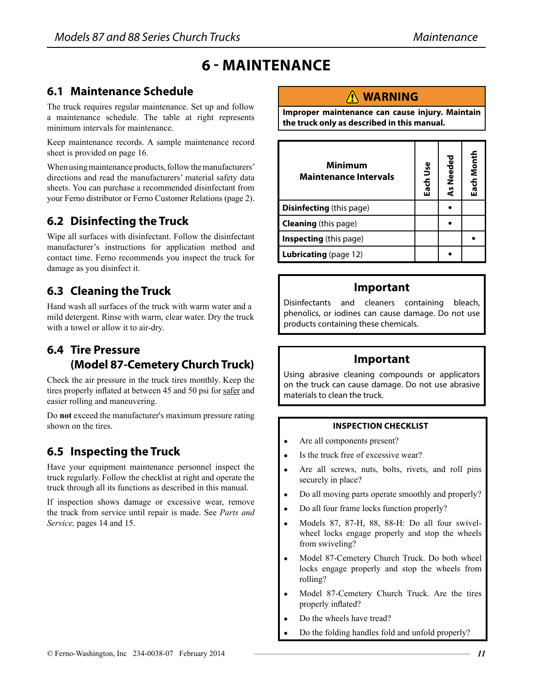# **6 - Maintenance**

#### **6.1 Maintenance Schedule**

The truck requires regular maintenance. Set up and follow a maintenance schedule. The table at right represents minimum intervals for maintenance.

Keep maintenance records. A sample maintenance record sheet is provided on page 16.

When using maintenance products, follow the manufacturers' directions and read the manufacturers' material safety data sheets. You can purchase a recommended disinfectant from your Ferno distributor or Ferno Customer Relations (page 2).

#### **6.2 Disinfecting the Truck**

Wipe all surfaces with disinfectant. Follow the disinfectant manufacturer's instructions for application method and contact time. Ferno recommends you inspect the truck for damage as you disinfect it.

### **6.3 Cleaning the Truck**

Hand wash all surfaces of the truck with warm water and a mild detergent. Rinse with warm, clear water. Dry the truck with a towel or allow it to air-dry.

### **6.4 Tire Pressure (Model 87-Cemetery Church Truck)**

Check the air pressure in the truck tires monthly. Keep the tires properly inflated at between 45 and 50 psi for safer and easier rolling and maneuvering.

Do **not** exceed the manufacturer's maximum pressure rating shown on the tires.

## **6.5 Inspecting the Truck**

Have your equipment maintenance personnel inspect the truck regularly. Follow the checklist at right and operate the truck through all its functions as described in this manual.

If inspection shows damage or excessive wear, remove the truck from service until repair is made. See *Parts and Service,* pages 14 and 15.

#### **Warning**

**Improper maintenance can cause injury. Maintain the truck only as described in this manual.**

| <b>Minimum</b><br><b>Maintenance Intervals</b> |  | As Needed | Each Month |
|------------------------------------------------|--|-----------|------------|
| <b>Disinfecting</b> (this page)                |  |           |            |
| <b>Cleaning</b> (this page)                    |  |           |            |
| <b>Inspecting</b> (this page)                  |  |           |            |
| <b>Lubricating</b> (page 12)                   |  |           |            |

#### **Important**

Disinfectants and cleaners containing bleach, phenolics, or iodines can cause damage. Do not use products containing these chemicals.

#### **Important**

Using abrasive cleaning compounds or applicators on the truck can cause damage. Do not use abrasive materials to clean the truck.

#### **inspection checklist**

- Are all components present?
- Is the truck free of excessive wear?
- Are all screws, nuts, bolts, rivets, and roll pins securely in place?
- Do all moving parts operate smoothly and properly?
- Do all four frame locks function properly?
- Models 87, 87-H, 88, 88-H: Do all four swivelwheel locks engage properly and stop the wheels from swiveling?
- Model 87-Cemetery Church Truck. Do both wheel locks engage properly and stop the wheels from rolling?
- Model 87-Cemetery Church Truck. Are the tires properly inflated?
- Do the wheels have tread?
- Do the folding handles fold and unfold properly?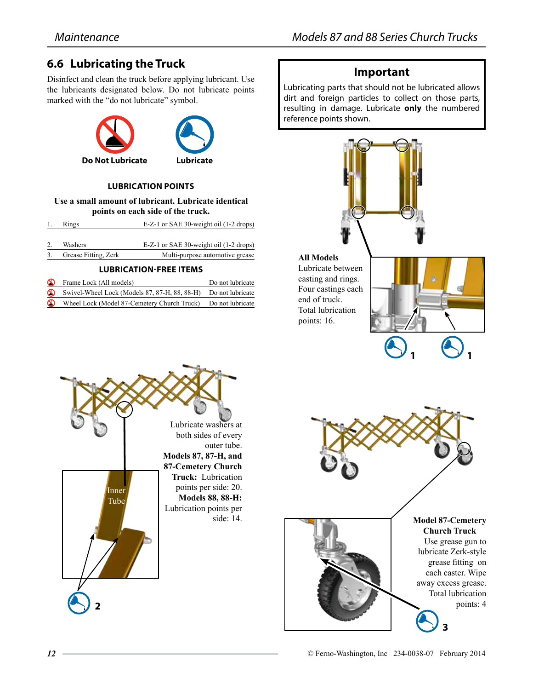## **6.6 Lubricating the Truck**

Disinfect and clean the truck before applying lubricant. Use the lubricants designated below. Do not lubricate points marked with the "do not lubricate" symbol.



#### **Lubrication points**

**Use a small amount of lubricant. Lubricate identical points on each side of the truck.**

| 1. Rings | E-Z-1 or SAE 30-weight oil (1-2 drops) |
|----------|----------------------------------------|
|          |                                        |

2. Washers E-Z-1 or SAE 30-weight oil (1-2 drops) Grease Fitting, Zerk Multi-purpose automotive grease

> Inner Tube

**2**

|          | <b>LUBRICATION-FREE ITEMS</b>                                  |                  |  |  |
|----------|----------------------------------------------------------------|------------------|--|--|
| $\infty$ | Frame Lock (All models)                                        | Do not lubricate |  |  |
| $\infty$ | Swivel-Wheel Lock (Models 87, 87-H, 88, 88-H) Do not lubricate |                  |  |  |
| $\infty$ | Wheel Lock (Model 87-Cemetery Church Truck) Do not lubricate   |                  |  |  |

Lubricate washers at both sides of every

**Models 87, 87-H, and 87-Cemetery Church Truck:** Lubrication points per side: 20. **Models 88, 88-H:** Lubrication points per

outer tube.

side: 14.

#### **Important**

Lubricating parts that should not be lubricated allows dirt and foreign particles to collect on those parts, resulting in damage. Lubricate **only** the numbered reference points shown.

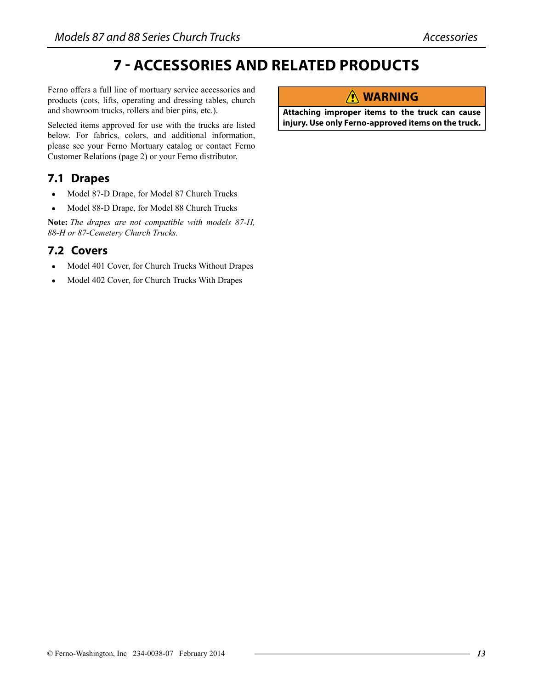# **7 - Accessories and Related Products**

Ferno offers a full line of mortuary service accessories and products (cots, lifts, operating and dressing tables, church and showroom trucks, rollers and bier pins, etc.).

Selected items approved for use with the trucks are listed below. For fabrics, colors, and additional information, please see your Ferno Mortuary catalog or contact Ferno Customer Relations (page 2) or your Ferno distributor.

#### **7.1 Drapes**

- Model 87-D Drape, for Model 87 Church Trucks
- Model 88-D Drape, for Model 88 Church Trucks

 **Note:** *The drapes are not compatible with models 87-H, 88-H or 87-Cemetery Church Trucks.*

#### **7.2 Covers**

- Model 401 Cover, for Church Trucks Without Drapes
- Model 402 Cover, for Church Trucks With Drapes

### **Warning**

**Attaching improper items to the truck can cause injury. Use only Ferno-approved items on the truck.**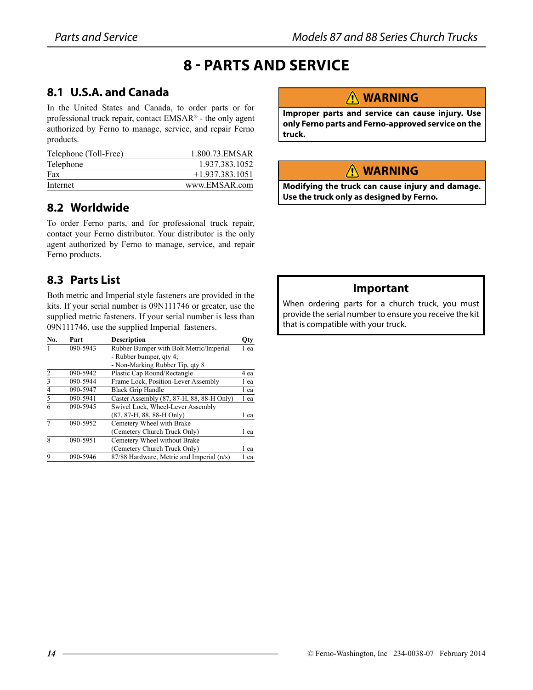# **8 - Parts and Service**

### **8.1 U.S.A. and Canada**

In the United States and Canada, to order parts or for professional truck repair, contact EMSAR® - the only agent authorized by Ferno to manage, service, and repair Ferno products.

| Telephone (Toll-Free) | 1.800.73.EMSAR    |
|-----------------------|-------------------|
| Telephone             | 1.937.383.1052    |
| Fax                   | $+1.937.383.1051$ |
| Internet              | www.EMSAR.com     |

#### **8.2 Worldwide**

To order Ferno parts, and for professional truck repair, contact your Ferno distributor. Your distributor is the only agent authorized by Ferno to manage, service, and repair Ferno products.

#### **8.3 Parts List**

Both metric and Imperial style fasteners are provided in the kits. If your serial number is 09N111746 or greater, use the supplied metric fasteners. If your serial number is less than 09N111746, use the supplied Imperial fasteners.

| No.            | Part     | <b>Description</b>                        | Qty  |
|----------------|----------|-------------------------------------------|------|
|                | 090-5943 | Rubber Bumper with Bolt Metric/Imperial   | 1 ea |
|                |          | - Rubber bumper, qty 4;                   |      |
|                |          | - Non-Marking Rubber Tip, qty 8           |      |
| $\overline{c}$ | 090-5942 | Plastic Cap Round/Rectangle               | 4 ea |
| $\overline{3}$ | 090-5944 | Frame Lock, Position-Lever Assembly       | l ea |
| $\overline{4}$ | 090-5947 | <b>Black Grip Handle</b>                  | 1 ea |
| 5              | 090-5941 | Caster Assembly (87, 87-H, 88, 88-H Only) | 1 ea |
| 6              | 090-5945 | Swivel Lock, Wheel-Lever Assembly         |      |
|                |          | (87, 87-H, 88, 88-H Only)                 | 1 ea |
|                | 090-5952 | Cemetery Wheel with Brake                 |      |
|                |          | (Cemetery Church Truck Only)              | 1 ea |
| 8              | 090-5951 | Cemetery Wheel without Brake              |      |
|                |          | (Cemetery Church Truck Only)              | l ea |
| $\mathbf Q$    | 090-5946 | 87/88 Hardware, Metric and Imperial (n/s) | 1 ea |

#### **Warning**

**Improper parts and service can cause injury. Use only Ferno parts and Ferno-approved service on the truck.**

#### **Warning**

**Modifying the truck can cause injury and damage. Use the truck only as designed by Ferno.**

#### **Important**

When ordering parts for a church truck, you must provide the serial number to ensure you receive the kit that is compatible with your truck.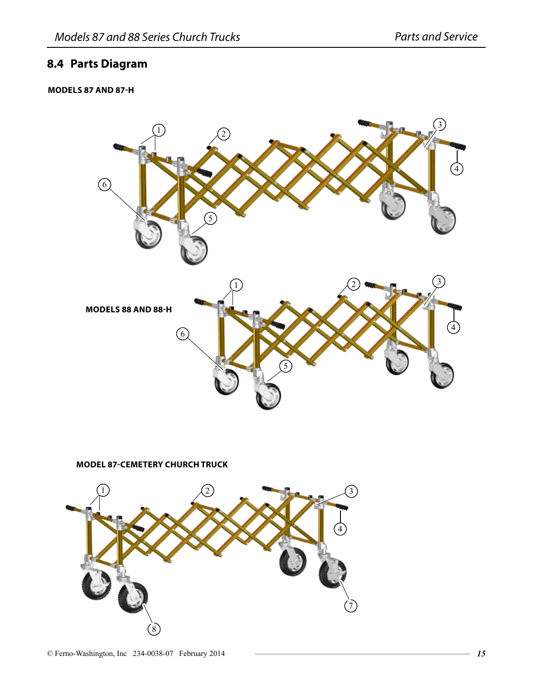#### **8.4 Parts Diagram**

#### **Models 87 and 87-H**



**Model 87-Cemetery Church Truck**